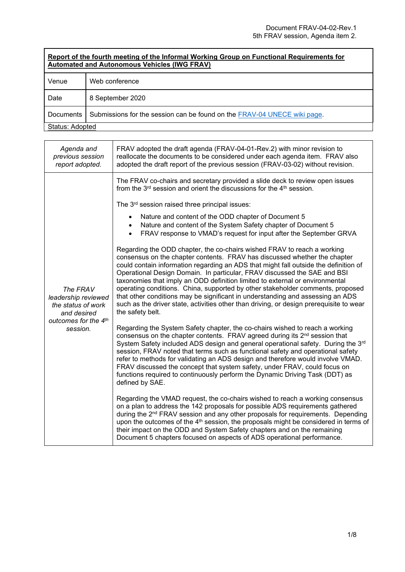| Report of the fourth meeting of the Informal Working Group on Functional Requirements for<br><b>Automated and Autonomous Vehicles (IWG FRAV)</b> |                                                                          |
|--------------------------------------------------------------------------------------------------------------------------------------------------|--------------------------------------------------------------------------|
| Venue                                                                                                                                            | Web conference                                                           |
| Date                                                                                                                                             | 8 September 2020                                                         |
| Documents                                                                                                                                        | Submissions for the session can be found on the FRAV-04 UNECE wiki page. |
| Status: Adopted                                                                                                                                  |                                                                          |

| Agenda and<br>previous session<br>report adopted.                    | FRAV adopted the draft agenda (FRAV-04-01-Rev.2) with minor revision to<br>reallocate the documents to be considered under each agenda item. FRAV also<br>adopted the draft report of the previous session (FRAV-03-02) without revision.                                                                                                                                                                                                                                                                                                                                                                                                                                                   |
|----------------------------------------------------------------------|---------------------------------------------------------------------------------------------------------------------------------------------------------------------------------------------------------------------------------------------------------------------------------------------------------------------------------------------------------------------------------------------------------------------------------------------------------------------------------------------------------------------------------------------------------------------------------------------------------------------------------------------------------------------------------------------|
|                                                                      | The FRAV co-chairs and secretary provided a slide deck to review open issues<br>from the 3 <sup>rd</sup> session and orient the discussions for the 4 <sup>th</sup> session.                                                                                                                                                                                                                                                                                                                                                                                                                                                                                                                |
|                                                                      | The 3 <sup>rd</sup> session raised three principal issues:                                                                                                                                                                                                                                                                                                                                                                                                                                                                                                                                                                                                                                  |
|                                                                      | Nature and content of the ODD chapter of Document 5<br>Nature and content of the System Safety chapter of Document 5<br>FRAV response to VMAD's request for input after the September GRVA                                                                                                                                                                                                                                                                                                                                                                                                                                                                                                  |
| The FRAV<br>leadership reviewed<br>the status of work<br>and desired | Regarding the ODD chapter, the co-chairs wished FRAV to reach a working<br>consensus on the chapter contents. FRAV has discussed whether the chapter<br>could contain information regarding an ADS that might fall outside the definition of<br>Operational Design Domain. In particular, FRAV discussed the SAE and BSI<br>taxonomies that imply an ODD definition limited to external or environmental<br>operating conditions. China, supported by other stakeholder comments, proposed<br>that other conditions may be significant in understanding and assessing an ADS<br>such as the driver state, activities other than driving, or design prerequisite to wear<br>the safety belt. |
| outcomes for the 4th<br>session.                                     | Regarding the System Safety chapter, the co-chairs wished to reach a working<br>consensus on the chapter contents. FRAV agreed during its 2 <sup>nd</sup> session that<br>System Safety included ADS design and general operational safety. During the 3 <sup>rd</sup><br>session, FRAV noted that terms such as functional safety and operational safety<br>refer to methods for validating an ADS design and therefore would involve VMAD.<br>FRAV discussed the concept that system safety, under FRAV, could focus on<br>functions required to continuously perform the Dynamic Driving Task (DDT) as<br>defined by SAE.                                                                |
|                                                                      | Regarding the VMAD request, the co-chairs wished to reach a working consensus<br>on a plan to address the 142 proposals for possible ADS requirements gathered<br>during the 2 <sup>nd</sup> FRAV session and any other proposals for requirements. Depending<br>upon the outcomes of the 4 <sup>th</sup> session, the proposals might be considered in terms of<br>their impact on the ODD and System Safety chapters and on the remaining<br>Document 5 chapters focused on aspects of ADS operational performance.                                                                                                                                                                       |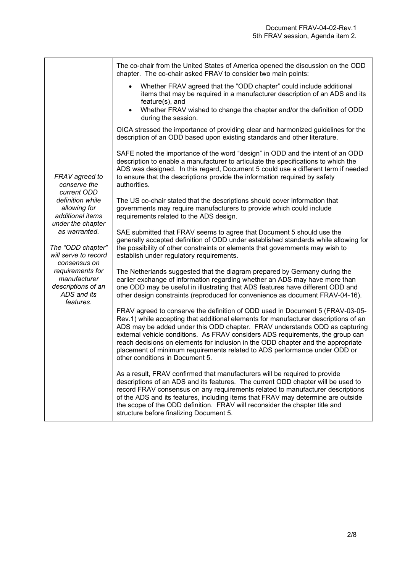|                                                                                                                                                                  | The co-chair from the United States of America opened the discussion on the ODD<br>chapter. The co-chair asked FRAV to consider two main points:                                                                                                                                                                                                                                                                                                                                                                                         |
|------------------------------------------------------------------------------------------------------------------------------------------------------------------|------------------------------------------------------------------------------------------------------------------------------------------------------------------------------------------------------------------------------------------------------------------------------------------------------------------------------------------------------------------------------------------------------------------------------------------------------------------------------------------------------------------------------------------|
|                                                                                                                                                                  | Whether FRAV agreed that the "ODD chapter" could include additional<br>$\bullet$<br>items that may be required in a manufacturer description of an ADS and its<br>feature(s), and                                                                                                                                                                                                                                                                                                                                                        |
|                                                                                                                                                                  | Whether FRAV wished to change the chapter and/or the definition of ODD<br>$\bullet$<br>during the session.                                                                                                                                                                                                                                                                                                                                                                                                                               |
| FRAV agreed to<br>conserve the<br>current ODD                                                                                                                    | OICA stressed the importance of providing clear and harmonized guidelines for the<br>description of an ODD based upon existing standards and other literature.                                                                                                                                                                                                                                                                                                                                                                           |
|                                                                                                                                                                  | SAFE noted the importance of the word "design" in ODD and the intent of an ODD<br>description to enable a manufacturer to articulate the specifications to which the<br>ADS was designed. In this regard, Document 5 could use a different term if needed<br>to ensure that the descriptions provide the information required by safety<br>authorities.                                                                                                                                                                                  |
| definition while<br>allowing for<br>additional items<br>under the chapter                                                                                        | The US co-chair stated that the descriptions should cover information that<br>governments may require manufacturers to provide which could include<br>requirements related to the ADS design.                                                                                                                                                                                                                                                                                                                                            |
| as warranted.<br>The "ODD chapter"<br>will serve to record<br>consensus on<br>requirements for<br>manufacturer<br>descriptions of an<br>ADS and its<br>features. | SAE submitted that FRAV seems to agree that Document 5 should use the<br>generally accepted definition of ODD under established standards while allowing for<br>the possibility of other constraints or elements that governments may wish to<br>establish under regulatory requirements.                                                                                                                                                                                                                                                |
|                                                                                                                                                                  | The Netherlands suggested that the diagram prepared by Germany during the<br>earlier exchange of information regarding whether an ADS may have more than<br>one ODD may be useful in illustrating that ADS features have different ODD and<br>other design constraints (reproduced for convenience as document FRAV-04-16).                                                                                                                                                                                                              |
|                                                                                                                                                                  | FRAV agreed to conserve the definition of ODD used in Document 5 (FRAV-03-05-<br>Rev.1) while accepting that additional elements for manufacturer descriptions of an<br>ADS may be added under this ODD chapter. FRAV understands ODD as capturing<br>external vehicle conditions. As FRAV considers ADS requirements, the group can<br>reach decisions on elements for inclusion in the ODD chapter and the appropriate<br>placement of minimum requirements related to ADS performance under ODD or<br>other conditions in Document 5. |
|                                                                                                                                                                  | As a result, FRAV confirmed that manufacturers will be required to provide<br>descriptions of an ADS and its features. The current ODD chapter will be used to<br>record FRAV consensus on any requirements related to manufacturer descriptions<br>of the ADS and its features, including items that FRAV may determine are outside<br>the scope of the ODD definition. FRAV will reconsider the chapter title and<br>structure before finalizing Document 5.                                                                           |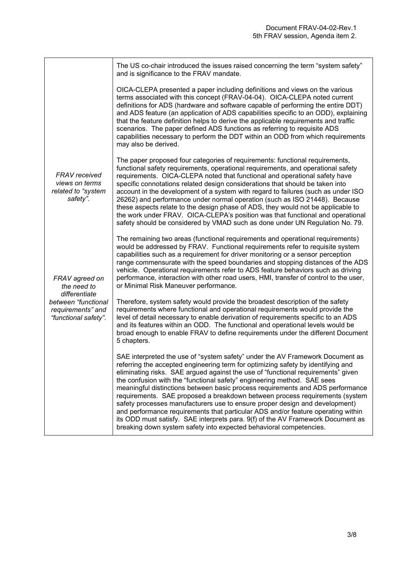|                                                                          | The US co-chair introduced the issues raised concerning the term "system safety"<br>and is significance to the FRAV mandate.                                                                                                                                                                                                                                                                                                                                                                                                                                                                                                                                                                                                                                                                                                  |
|--------------------------------------------------------------------------|-------------------------------------------------------------------------------------------------------------------------------------------------------------------------------------------------------------------------------------------------------------------------------------------------------------------------------------------------------------------------------------------------------------------------------------------------------------------------------------------------------------------------------------------------------------------------------------------------------------------------------------------------------------------------------------------------------------------------------------------------------------------------------------------------------------------------------|
|                                                                          | OICA-CLEPA presented a paper including definitions and views on the various<br>terms associated with this concept (FRAV-04-04). OICA-CLEPA noted current<br>definitions for ADS (hardware and software capable of performing the entire DDT)<br>and ADS feature (an application of ADS capabilities specific to an ODD), explaining<br>that the feature definition helps to derive the applicable requirements and traffic<br>scenarios. The paper defined ADS functions as referring to requisite ADS<br>capabilities necessary to perform the DDT within an ODD from which requirements<br>may also be derived.                                                                                                                                                                                                             |
| <b>FRAV</b> received<br>views on terms<br>related to "system<br>safety". | The paper proposed four categories of requirements: functional requirements,<br>functional safety requirements, operational requirements, and operational safety<br>requirements. OICA-CLEPA noted that functional and operational safety have<br>specific connotations related design considerations that should be taken into<br>account in the development of a system with regard to failures (such as under ISO<br>26262) and performance under normal operation (such as ISO 21448). Because<br>these aspects relate to the design phase of ADS, they would not be applicable to<br>the work under FRAV. OICA-CLEPA's position was that functional and operational<br>safety should be considered by VMAD such as done under UN Regulation No. 79.                                                                      |
| FRAV agreed on<br>the need to<br>differentiate                           | The remaining two areas (functional requirements and operational requirements)<br>would be addressed by FRAV. Functional requirements refer to requisite system<br>capabilities such as a requirement for driver monitoring or a sensor perception<br>range commensurate with the speed boundaries and stopping distances of the ADS<br>vehicle. Operational requirements refer to ADS feature behaviors such as driving<br>performance, interaction with other road users, HMI, transfer of control to the user,<br>or Minimal Risk Maneuver performance.                                                                                                                                                                                                                                                                    |
| between "functional<br>requirements" and<br>"functional safety".         | Therefore, system safety would provide the broadest description of the safety<br>requirements where functional and operational requirements would provide the<br>level of detail necessary to enable derivation of requirements specific to an ADS<br>and its features within an ODD. The functional and operational levels would be<br>broad enough to enable FRAV to define requirements under the different Document<br>5 chapters.                                                                                                                                                                                                                                                                                                                                                                                        |
|                                                                          | SAE interpreted the use of "system safety" under the AV Framework Document as<br>referring the accepted engineering term for optimizing safety by identifying and<br>eliminating risks. SAE argued against the use of "functional requirements" given<br>the confusion with the "functional safety" engineering method. SAE sees<br>meaningful distinctions between basic process requirements and ADS performance<br>requirements. SAE proposed a breakdown between process requirements (system<br>safety processes manufacturers use to ensure proper design and development)<br>and performance requirements that particular ADS and/or feature operating within<br>its ODD must satisfy. SAE interprets para. 9(f) of the AV Framework Document as<br>breaking down system safety into expected behavioral competencies. |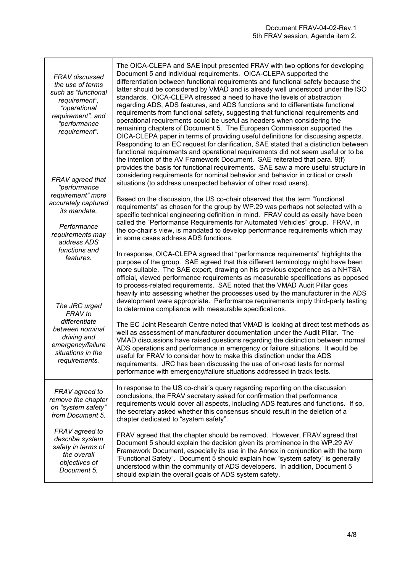| FRAV discussed<br>the use of terms<br>such as "functional<br>requirement",<br>"operational<br>requirement", and<br>"performance<br>requirement".<br>FRAV agreed that | The OICA-CLEPA and SAE input presented FRAV with two options for developing<br>Document 5 and individual requirements. OICA-CLEPA supported the<br>differentiation between functional requirements and functional safety because the<br>latter should be considered by VMAD and is already well understood under the ISO<br>standards. OICA-CLEPA stressed a need to have the levels of abstraction<br>regarding ADS, ADS features, and ADS functions and to differentiate functional<br>requirements from functional safety, suggesting that functional requirements and<br>operational requirements could be useful as headers when considering the<br>remaining chapters of Document 5. The European Commission supported the<br>OICA-CLEPA paper in terms of providing useful definitions for discussing aspects.<br>Responding to an EC request for clarification, SAE stated that a distinction between<br>functional requirements and operational requirements did not seem useful or to be<br>the intention of the AV Framework Document. SAE reiterated that para. 9(f)<br>provides the basis for functional requirements. SAE saw a more useful structure in<br>considering requirements for nominal behavior and behavior in critical or crash<br>situations (to address unexpected behavior of other road users). |
|----------------------------------------------------------------------------------------------------------------------------------------------------------------------|-------------------------------------------------------------------------------------------------------------------------------------------------------------------------------------------------------------------------------------------------------------------------------------------------------------------------------------------------------------------------------------------------------------------------------------------------------------------------------------------------------------------------------------------------------------------------------------------------------------------------------------------------------------------------------------------------------------------------------------------------------------------------------------------------------------------------------------------------------------------------------------------------------------------------------------------------------------------------------------------------------------------------------------------------------------------------------------------------------------------------------------------------------------------------------------------------------------------------------------------------------------------------------------------------------------------------------|
| "performance<br>requirement" more<br>accurately captured<br>its mandate.<br>Performance<br>requirements may<br>address ADS                                           | Based on the discussion, the US co-chair observed that the term "functional<br>requirements" as chosen for the group by WP.29 was perhaps not selected with a<br>specific technical engineering definition in mind. FRAV could as easily have been<br>called the "Performance Requirements for Automated Vehicles" group. FRAV, in<br>the co-chair's view, is mandated to develop performance requirements which may<br>in some cases address ADS functions.                                                                                                                                                                                                                                                                                                                                                                                                                                                                                                                                                                                                                                                                                                                                                                                                                                                                  |
| functions and<br>features.<br>The JRC urged<br><b>FRAV</b> to                                                                                                        | In response, OICA-CLEPA agreed that "performance requirements" highlights the<br>purpose of the group. SAE agreed that this different terminology might have been<br>more suitable. The SAE expert, drawing on his previous experience as a NHTSA<br>official, viewed performance requirements as measurable specifications as opposed<br>to process-related requirements. SAE noted that the VMAD Audit Pillar goes<br>heavily into assessing whether the processes used by the manufacturer in the ADS<br>development were appropriate. Performance requirements imply third-party testing<br>to determine compliance with measurable specifications.                                                                                                                                                                                                                                                                                                                                                                                                                                                                                                                                                                                                                                                                       |
| differentiate<br>between nominal<br>driving and<br>emergency/failure<br>situations in the<br>requirements.                                                           | The EC Joint Research Centre noted that VMAD is looking at direct test methods as<br>well as assessment of manufacturer documentation under the Audit Pillar. The<br>VMAD discussions have raised questions regarding the distinction between normal<br>ADS operations and performance in emergency or failure situations. It would be<br>useful for FRAV to consider how to make this distinction under the ADS<br>requirements. JRC has been discussing the use of on-road tests for normal<br>performance with emergency/failure situations addressed in track tests.                                                                                                                                                                                                                                                                                                                                                                                                                                                                                                                                                                                                                                                                                                                                                      |
| FRAV agreed to<br>remove the chapter<br>on "system safety"<br>from Document 5.                                                                                       | In response to the US co-chair's query regarding reporting on the discussion<br>conclusions, the FRAV secretary asked for confirmation that performance<br>requirements would cover all aspects, including ADS features and functions. If so,<br>the secretary asked whether this consensus should result in the deletion of a<br>chapter dedicated to "system safety".                                                                                                                                                                                                                                                                                                                                                                                                                                                                                                                                                                                                                                                                                                                                                                                                                                                                                                                                                       |
| FRAV agreed to<br>describe system<br>safety in terms of<br>the overall<br>objectives of<br>Document 5.                                                               | FRAV agreed that the chapter should be removed. However, FRAV agreed that<br>Document 5 should explain the decision given its prominence in the WP.29 AV<br>Framework Document, especially its use in the Annex in conjunction with the term<br>"Functional Safety". Document 5 should explain how "system safety" is generally<br>understood within the community of ADS developers. In addition, Document 5<br>should explain the overall goals of ADS system safety.                                                                                                                                                                                                                                                                                                                                                                                                                                                                                                                                                                                                                                                                                                                                                                                                                                                       |

**r**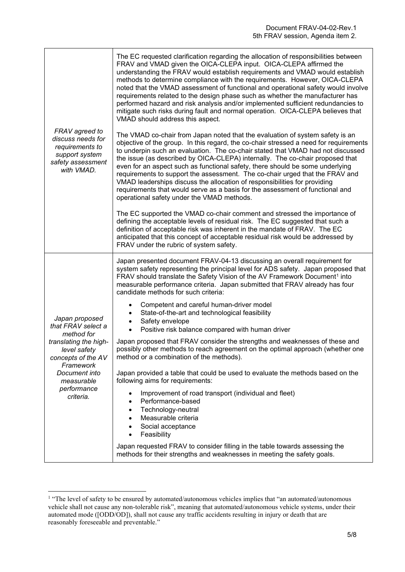| FRAV agreed to<br>discuss needs for<br>requirements to<br>support system<br>safety assessment<br>with VMAD.                                                                               | The EC requested clarification regarding the allocation of responsibilities between<br>FRAV and VMAD given the OICA-CLEPA input. OICA-CLEPA affirmed the<br>understanding the FRAV would establish requirements and VMAD would establish<br>methods to determine compliance with the requirements. However, OICA-CLEPA<br>noted that the VMAD assessment of functional and operational safety would involve<br>requirements related to the design phase such as whether the manufacturer has<br>performed hazard and risk analysis and/or implemented sufficient redundancies to<br>mitigate such risks during fault and normal operation. OICA-CLEPA believes that<br>VMAD should address this aspect.<br>The VMAD co-chair from Japan noted that the evaluation of system safety is an<br>objective of the group. In this regard, the co-chair stressed a need for requirements<br>to underpin such an evaluation. The co-chair stated that VMAD had not discussed<br>the issue (as described by OICA-CLEPA) internally. The co-chair proposed that<br>even for an aspect such as functional safety, there should be some underlying<br>requirements to support the assessment. The co-chair urged that the FRAV and<br>VMAD leaderships discuss the allocation of responsibilities for providing<br>requirements that would serve as a basis for the assessment of functional and<br>operational safety under the VMAD methods.<br>The EC supported the VMAD co-chair comment and stressed the importance of<br>defining the acceptable levels of residual risk. The EC suggested that such a<br>definition of acceptable risk was inherent in the mandate of FRAV. The EC<br>anticipated that this concept of acceptable residual risk would be addressed by<br>FRAV under the rubric of system safety. |
|-------------------------------------------------------------------------------------------------------------------------------------------------------------------------------------------|-------------------------------------------------------------------------------------------------------------------------------------------------------------------------------------------------------------------------------------------------------------------------------------------------------------------------------------------------------------------------------------------------------------------------------------------------------------------------------------------------------------------------------------------------------------------------------------------------------------------------------------------------------------------------------------------------------------------------------------------------------------------------------------------------------------------------------------------------------------------------------------------------------------------------------------------------------------------------------------------------------------------------------------------------------------------------------------------------------------------------------------------------------------------------------------------------------------------------------------------------------------------------------------------------------------------------------------------------------------------------------------------------------------------------------------------------------------------------------------------------------------------------------------------------------------------------------------------------------------------------------------------------------------------------------------------------------------------------------------------------------------------------------------------------------------|
| Japan proposed<br>that FRAV select a<br>method for<br>translating the high-<br>level safety<br>concepts of the AV<br>Framework<br>Document into<br>measurable<br>performance<br>criteria. | Japan presented document FRAV-04-13 discussing an overall requirement for<br>system safety representing the principal level for ADS safety. Japan proposed that<br>FRAV should translate the Safety Vision of the AV Framework Document <sup>1</sup> into<br>measurable performance criteria. Japan submitted that FRAV already has four<br>candidate methods for such criteria:<br>Competent and careful human-driver model<br>٠<br>State-of-the-art and technological feasibility<br>٠<br>Safety envelope<br>$\bullet$<br>Positive risk balance compared with human driver<br>$\bullet$<br>Japan proposed that FRAV consider the strengths and weaknesses of these and<br>possibly other methods to reach agreement on the optimal approach (whether one<br>method or a combination of the methods).<br>Japan provided a table that could be used to evaluate the methods based on the<br>following aims for requirements:<br>Improvement of road transport (individual and fleet)<br>$\bullet$<br>Performance-based<br>Technology-neutral<br>$\bullet$<br>Measurable criteria<br>Social acceptance<br>Feasibility<br>$\bullet$<br>Japan requested FRAV to consider filling in the table towards assessing the<br>methods for their strengths and weaknesses in meeting the safety goals.                                                                                                                                                                                                                                                                                                                                                                                                                                                                                                                 |

<sup>&</sup>lt;sup>1</sup> "The level of safety to be ensured by automated/autonomous vehicles implies that "an automated/autonomous vehicle shall not cause any non-tolerable risk", meaning that automated/autonomous vehicle systems, under their automated mode ([ODD/OD]), shall not cause any traffic accidents resulting in injury or death that are reasonably foreseeable and preventable."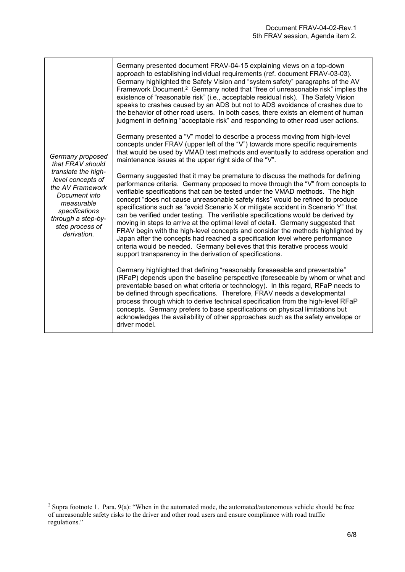| support transparency in the derivation of specifications.<br>Germany highlighted that defining "reasonably foreseeable and preventable"<br>(RFaP) depends upon the baseline perspective (foreseeable by whom or what and | Germany proposed<br>that FRAV should<br>translate the high-<br>level concepts of<br>the AV Framework<br>Document into<br>measurable<br>specifications<br>through a step-by-<br>step process of<br>derivation. | Germany presented document FRAV-04-15 explaining views on a top-down<br>approach to establishing individual requirements (ref. document FRAV-03-03).<br>Germany highlighted the Safety Vision and "system safety" paragraphs of the AV<br>Framework Document. <sup>2</sup> Germany noted that "free of unreasonable risk" implies the<br>existence of "reasonable risk" (i.e., acceptable residual risk). The Safety Vision<br>speaks to crashes caused by an ADS but not to ADS avoidance of crashes due to<br>the behavior of other road users. In both cases, there exists an element of human<br>judgment in defining "acceptable risk" and responding to other road user actions.<br>Germany presented a "V" model to describe a process moving from high-level<br>concepts under FRAV (upper left of the "V") towards more specific requirements<br>that would be used by VMAD test methods and eventually to address operation and<br>maintenance issues at the upper right side of the "V".<br>Germany suggested that it may be premature to discuss the methods for defining<br>performance criteria. Germany proposed to move through the "V" from concepts to<br>verifiable specifications that can be tested under the VMAD methods. The high<br>concept "does not cause unreasonable safety risks" would be refined to produce<br>specifications such as "avoid Scenario X or mitigate accident in Scenario Y" that<br>can be verified under testing. The verifiable specifications would be derived by<br>moving in steps to arrive at the optimal level of detail. Germany suggested that<br>FRAV begin with the high-level concepts and consider the methods highlighted by<br>Japan after the concepts had reached a specification level where performance<br>criteria would be needed. Germany believes that this iterative process would |
|--------------------------------------------------------------------------------------------------------------------------------------------------------------------------------------------------------------------------|---------------------------------------------------------------------------------------------------------------------------------------------------------------------------------------------------------------|-------------------------------------------------------------------------------------------------------------------------------------------------------------------------------------------------------------------------------------------------------------------------------------------------------------------------------------------------------------------------------------------------------------------------------------------------------------------------------------------------------------------------------------------------------------------------------------------------------------------------------------------------------------------------------------------------------------------------------------------------------------------------------------------------------------------------------------------------------------------------------------------------------------------------------------------------------------------------------------------------------------------------------------------------------------------------------------------------------------------------------------------------------------------------------------------------------------------------------------------------------------------------------------------------------------------------------------------------------------------------------------------------------------------------------------------------------------------------------------------------------------------------------------------------------------------------------------------------------------------------------------------------------------------------------------------------------------------------------------------------------------------------------------------------------------------------------------------------------------|
|                                                                                                                                                                                                                          |                                                                                                                                                                                                               | preventable based on what criteria or technology). In this regard, RFaP needs to                                                                                                                                                                                                                                                                                                                                                                                                                                                                                                                                                                                                                                                                                                                                                                                                                                                                                                                                                                                                                                                                                                                                                                                                                                                                                                                                                                                                                                                                                                                                                                                                                                                                                                                                                                            |

<sup>&</sup>lt;sup>2</sup> Supra footnote 1. Para.  $9(a)$ : "When in the automated mode, the automated/autonomous vehicle should be free of unreasonable safety risks to the driver and other road users and ensure compliance with road traffic regulations."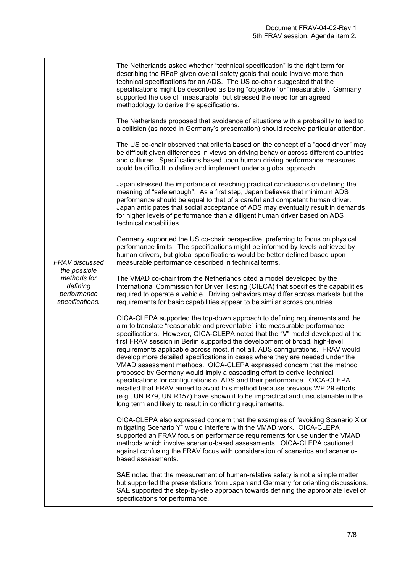| <b>FRAV</b> discussed<br>the possible<br>methods for<br>defining<br>performance<br>specifications. | The Netherlands asked whether "technical specification" is the right term for<br>describing the RFaP given overall safety goals that could involve more than<br>technical specifications for an ADS. The US co-chair suggested that the<br>specifications might be described as being "objective" or "measurable". Germany<br>supported the use of "measurable" but stressed the need for an agreed<br>methodology to derive the specifications.                                                                                                                                                                                                                                                                                                                                                                                                                                                                                                                 |
|----------------------------------------------------------------------------------------------------|------------------------------------------------------------------------------------------------------------------------------------------------------------------------------------------------------------------------------------------------------------------------------------------------------------------------------------------------------------------------------------------------------------------------------------------------------------------------------------------------------------------------------------------------------------------------------------------------------------------------------------------------------------------------------------------------------------------------------------------------------------------------------------------------------------------------------------------------------------------------------------------------------------------------------------------------------------------|
|                                                                                                    | The Netherlands proposed that avoidance of situations with a probability to lead to<br>a collision (as noted in Germany's presentation) should receive particular attention.                                                                                                                                                                                                                                                                                                                                                                                                                                                                                                                                                                                                                                                                                                                                                                                     |
|                                                                                                    | The US co-chair observed that criteria based on the concept of a "good driver" may<br>be difficult given differences in views on driving behavior across different countries<br>and cultures. Specifications based upon human driving performance measures<br>could be difficult to define and implement under a global approach.                                                                                                                                                                                                                                                                                                                                                                                                                                                                                                                                                                                                                                |
|                                                                                                    | Japan stressed the importance of reaching practical conclusions on defining the<br>meaning of "safe enough". As a first step, Japan believes that minimum ADS<br>performance should be equal to that of a careful and competent human driver.<br>Japan anticipates that social acceptance of ADS may eventually result in demands<br>for higher levels of performance than a diligent human driver based on ADS<br>technical capabilities.                                                                                                                                                                                                                                                                                                                                                                                                                                                                                                                       |
|                                                                                                    | Germany supported the US co-chair perspective, preferring to focus on physical<br>performance limits. The specifications might be informed by levels achieved by<br>human drivers, but global specifications would be better defined based upon<br>measurable performance described in technical terms.                                                                                                                                                                                                                                                                                                                                                                                                                                                                                                                                                                                                                                                          |
|                                                                                                    | The VMAD co-chair from the Netherlands cited a model developed by the<br>International Commission for Driver Testing (CIECA) that specifies the capabilities<br>required to operate a vehicle. Driving behaviors may differ across markets but the<br>requirements for basic capabilities appear to be similar across countries.                                                                                                                                                                                                                                                                                                                                                                                                                                                                                                                                                                                                                                 |
|                                                                                                    | OICA-CLEPA supported the top-down approach to defining requirements and the<br>aim to translate "reasonable and preventable" into measurable performance<br>specifications. However, OICA-CLEPA noted that the "V" model developed at the<br>first FRAV session in Berlin supported the development of broad, high-level<br>requirements applicable across most, if not all, ADS configurations. FRAV would<br>develop more detailed specifications in cases where they are needed under the<br>VMAD assessment methods. OICA-CLEPA expressed concern that the method<br>proposed by Germany would imply a cascading effort to derive technical<br>specifications for configurations of ADS and their performance. OICA-CLEPA<br>recalled that FRAV aimed to avoid this method because previous WP.29 efforts<br>(e.g., UN R79, UN R157) have shown it to be impractical and unsustainable in the<br>long term and likely to result in conflicting requirements. |
|                                                                                                    | OICA-CLEPA also expressed concern that the examples of "avoiding Scenario X or<br>mitigating Scenario Y" would interfere with the VMAD work. OICA-CLEPA<br>supported an FRAV focus on performance requirements for use under the VMAD<br>methods which involve scenario-based assessments. OICA-CLEPA cautioned<br>against confusing the FRAV focus with consideration of scenarios and scenario-<br>based assessments.                                                                                                                                                                                                                                                                                                                                                                                                                                                                                                                                          |
|                                                                                                    | SAE noted that the measurement of human-relative safety is not a simple matter<br>but supported the presentations from Japan and Germany for orienting discussions.<br>SAE supported the step-by-step approach towards defining the appropriate level of<br>specifications for performance.                                                                                                                                                                                                                                                                                                                                                                                                                                                                                                                                                                                                                                                                      |